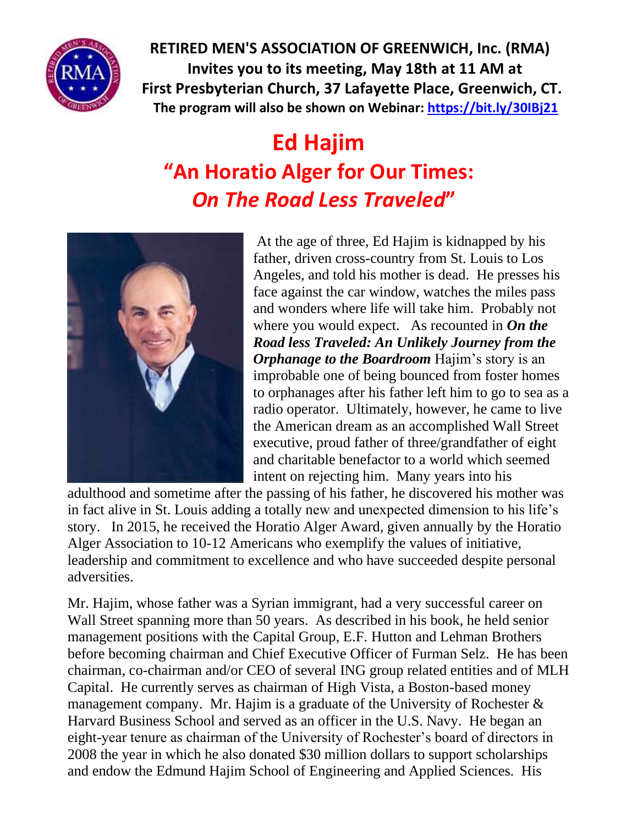

**RETIRED MEN'S ASSOCIATION OF GREENWICH, Inc. (RMA) Invites you to its meeting, May 18th at 11 AM at First Presbyterian Church, 37 Lafayette Place, Greenwich, CT. The program will also be shown on Webinar:<https://bit.ly/30IBj21>**

## **Ed Hajim "An Horatio Alger for Our Times:** *On The Road Less Traveled***"**



At the age of three, Ed Hajim is kidnapped by his father, driven cross-country from St. Louis to Los Angeles, and told his mother is dead. He presses his face against the car window, watches the miles pass and wonders where life will take him. Probably not where you would expect. As recounted in *On the Road less Traveled: An Unlikely Journey from the Orphanage to the Boardroom* Hajim's story is an improbable one of being bounced from foster homes to orphanages after his father left him to go to sea as a radio operator. Ultimately, however, he came to live the American dream as an accomplished Wall Street executive, proud father of three/grandfather of eight and charitable benefactor to a world which seemed intent on rejecting him. Many years into his

adulthood and sometime after the passing of his father, he discovered his mother was in fact alive in St. Louis adding a totally new and unexpected dimension to his life's story. In 2015, he received the Horatio Alger Award, given annually by the Horatio Alger Association to 10-12 Americans who exemplify the values of initiative, leadership and commitment to excellence and who have succeeded despite personal adversities.

Mr. Hajim, whose father was a Syrian immigrant, had a very successful career on Wall Street spanning more than 50 years. As described in his book, he held senior management positions with the Capital Group, E.F. Hutton and Lehman Brothers before becoming chairman and Chief Executive Officer of Furman Selz. He has been chairman, co-chairman and/or CEO of several ING group related entities and of MLH Capital. He currently serves as chairman of High Vista, a Boston-based money management company. Mr. Hajim is a graduate of the University of Rochester  $\&$ Harvard Business School and served as an officer in the U.S. Navy. He began an eight-year tenure as chairman of the University of Rochester's board of directors in 2008 the year in which he also donated \$30 million dollars to support scholarships and endow the Edmund Hajim School of Engineering and Applied Sciences. His